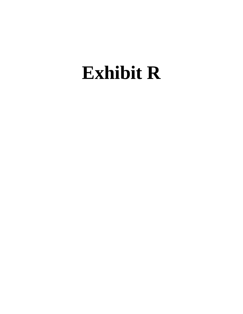# **Exhibit R**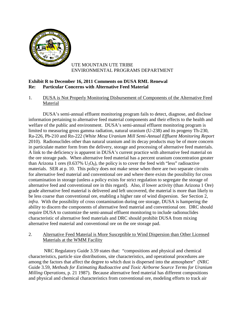

## UTE MOUNTAIN UTE TRIBE ENVIRONMENTAL PROGRAMS DEPARTMENT

# **Exhibit R to December 16, 2011 Comments on DUSA RML Renewal Re: Particular Concerns with Alternative Feed Material**

## 1. DUSA is Not Properly Monitoring Disbursement of Components of the Alternative Feed Material

DUSA's semi-annual effluent monitoring program fails to detect, diagnose, and disclose information pertaining to alternative feed material components and their effects to the health and welfare of the public and environment. DUSA's semi-annual effluent monitoring program is limited to measuring gross gamma radiation, natural uranium (U-238) and its progeny Th-230, Ra-226, Pb-210 and Rn-222 (*White Mesa Uranium Mill Semi-Annual Effluent Monitoring Report* 2010). Radionuclides other than natural uranium and its decay products may be of more concern in particulate matter form from the delivery, storage and processing of alternative feed materials. A link to the deficiency is apparent in DUSA's current practice with alternative feed material on the ore storage pads. When alternative feed material has a percent uranium concentration greater than Arizona 1 ores  $(0.637\% \text{ U}_3\text{O}_8)$ , the policy is to cover the feed with "less" radioactive materials. SER at p. 10. This policy does not make sense when there are two separate circuits for alternative feed material and conventional ore and where there exists the possibility for cross contamination in storage (unless a policy exists for strict regulation to segregate the storage of alternative feed and conventional ore in this regard). Also, if lower activity (than Arizona 1 Ore) grade alternative feed material is delivered and left uncovered, the material is more than likely to be less coarse than conventional ore, enabling a higher rate of wind dispersion. *See* Section 2, *infra*. With the possibility of cross contamination during ore storage, DUSA is hampering the ability to discern the components of alternative feed material and conventional ore. DRC should require DUSA to customize the semi-annual effluent monitoring to include radionuclides characteristic of alternative feed materials and DRC should prohibit DUSA from mixing alternative feed material and conventional ore on the ore storage pad.

## 2. Alternative Feed Material is More Susceptible to Wind Dispersion than Other Licensed Materials at the WMM Facility

NRC Regulatory Guide 3.59 states that: "compositions and physical and chemical characteristics, particle size distributions, site characteristics, and operational procedures are among the factors that affect the degree to which dust is dispersed into the atmosphere" (NRC Guide 3.59, *Methods for Estimating Radioactive and Toxic Airborne Source Terms for Uranium Milling Operations*, p. 21 1987). Because alternative feed material has different compositions and physical and chemical characteristics from conventional ore, modeling efforts to track air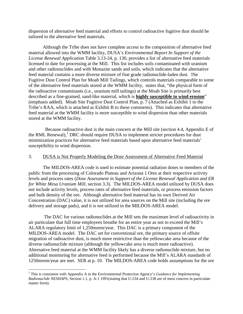dispersion of alternative feed material and efforts to control radioactive fugitive dust should be tailored to the alternative feed materials.

Although the Tribe does not have complete access to the composition of alternative feed material allowed into the WMM facility, DUSA's *Environmental Report In Support of the License Renewal Application* Table 3.13-24, p. 130, provides a list of alternative feed materials licensed to date for processing at the Mill. This list includes soils contaminated with uranium and other radionuclides and with Monazite sands and soils, which indicates that the alternative feed material contains a more diverse mixture of fine grade radionuclide-laden dust. The Fugitive Dust Control Plan for Moab Mill Tailings, which controls materials comparable to some of the alternative feed materials stored at the WMM facility, states that, "the physical form of the radioactive contaminants (i.e., uranium mill tailings) at the Moab Site is primarily best described as a fine-grained, sand-like material, which is **highly susceptible to wind erosion**" (emphasis added). Moab Site Fugitive Dust Control Plan, p. 7 (Attached as Exhibit 1 to the Tribe's RAA, which is attached as Exhibit B to these comments). This indicates that alternative feed material at the WMM facility is more susceptible to wind dispersion than other materials stored at the WMM facility.

Because radioactive dust is the main concern at the Mill site (section 4.4, Appendix E of the RML Renewal),<sup>[1](#page-2-0)</sup> DRC should require DUSA to implement stricter procedures for dust minimization practices for alternative feed materials based upon alternative feed materials' susceptibility to wind dispersion.

#### 3. DUSA is Not Properly Modeling the Dose Assessment of Alternative Feed Material

The MILDOS-AREA code is used to estimate potential radiation doses to members of the public from the processing of Colorado Plateau and Arizona 1 Ores at their respective activity levels and process rates (*Dose Assessment in Support of the License Renewal Application and ER for White Mesa Uranium Mill*, section 3.3). The MILDOS-AREA model utilized by DUSA does not include activity levels, process rates of alternative feed materials, or process emission factors and bulk density of the ore. Although alternative feed material has its own Derived Air Concentration (DAC) value, it is not utilized for area sources on the Mill site (including the ore delivery and storage pads), and it is not utilized in the MILDOS-AREA model.

The DAC for various radionuclides at the Mill sets the maximum level of radioactivity in air particulate that full time employees breathe for an entire year as not to exceed the Mill's ALARA regulatory limit of 1,250mrem/year. This DAC is a primary component of the MILDOS-AREA model. The DAC set for conventional ore, the primary source of offsite migration of radioactive dust, is much more restrictive than the yellowcake area because of the diverse radionuclide mixture (although the yellowcake area is much more radioactive). Alternative feed material at the WMM facility likely has a diverse radionuclide mixture, but no additional monitoring for alternative feed is performed because the Mill's ALARA standards of 1250mrem/year are met. SER at p. 10. The MILDOS-AREA code holds assumptions for the ore

<span id="page-2-0"></span> <sup>1</sup> This is consistent with Appendix A in the Environmental Protection Agency's *Guidance for Implementing Radionuclide NESHAPS*, Section 1.1, p. A-1 1991(stating that U-234 and U-238 are of most concern in particulate matter form).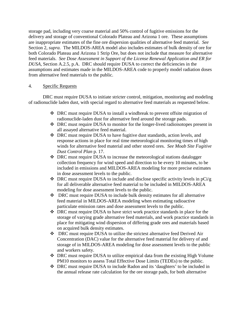storage pad, including very coarse material and 50% control of fugitive emissions for the delivery and storage of conventional Colorado Plateau and Arizona 1 ore. These assumptions are inappropriate estimates of the fine ore dispersion qualities of alternative feed material. *See* Section 2, *supra.* The MILDOS-AREA model also includes estimates of bulk density of ore for both Colorado Plateau and Arizona 1 Strip Ore, but does not include that measure for alternative feed materials. *See Dose Assessment in Support of the License Renewal Application and ER for DUSA*, Section A.2.5, p.A. DRC should require DUSA to correct the deficiencies in the assumptions and estimates made in the MILDOS-AREA code to properly model radiation doses from alternative feed materials to the public.

#### 4. Specific Requests

DRC must require DUSA to initiate stricter control, mitigation, monitoring and modeling of radionuclide laden dust, with special regard to alternative feed materials as requested below.

- DRC must require DUSA to install a windbreak to prevent offsite migration of radionuclide-laden dust for alternative feed around the storage pads.
- DRC must require DUSA to monitor for the longer-lived radioisotopes present in all assayed alternative feed material.
- DRC must require DUSA to have fugitive dust standards, action levels, and response actions in place for real time meteorological monitoring times of high winds for alternative feed material and other stored ores. *See Moab Site Fugitive Dust Control Plan* p. 17.
- DRC must require DUSA to increase the meteorological stations datalogger collection frequency for wind speed and direction to be every 10 minutes, to be included in emissions and MILDOS-AREA modeling for more precise estimates in dose assessment levels to the public.
- $\bullet$  DRC must require DUSA to include and disclose specific activity levels in pCi/g for all deliverable alternative feed material to be included in MILDOS-AREA modeling for dose assessment levels to the public.
- DRC must require DUSA to include bulk density estimates for all alternative feed material in MILDOS-AREA modeling when estimating radioactive particulate emission rates and dose assessment levels to the public.
- DRC must require DUSA to have strict work practice standards in place for the storage of varying grade alternative feed materials, and work practice standards in place for mitigating wind dispersion of differing grade ores and materials based on acquired bulk density estimates.
- DRC must require DUSA to utilize the strictest alternative feed Derived Air Concentration (DAC) value for the alternative feed material for delivery of and storage of in MILDOS-AREA modeling for dose assessment levels to the public and workers safety.
- DRC must require DUSA to utilize empirical data from the existing High Volume PM10 monitors to assess Total Effective Dose Limits (TEDEs) to the public.
- DRC must require DUSA to include Radon and its 'daughters' to be included in the annual release rate calculation for the ore storage pads, for both alternative